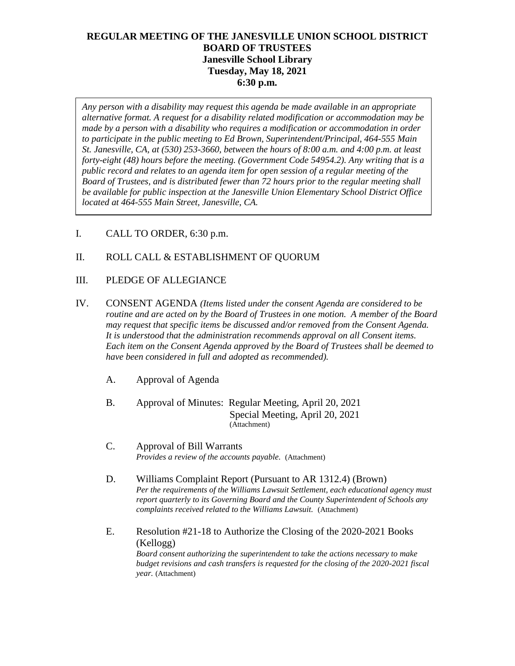# **REGULAR MEETING OF THE JANESVILLE UNION SCHOOL DISTRICT BOARD OF TRUSTEES Janesville School Library Tuesday, May 18, 2021 6:30 p.m.**

*Any person with a disability may request this agenda be made available in an appropriate alternative format. A request for a disability related modification or accommodation may be made by a person with a disability who requires a modification or accommodation in order to participate in the public meeting to Ed Brown, Superintendent/Principal, 464-555 Main St. Janesville, CA, at (530) 253-3660, between the hours of 8:00 a.m. and 4:00 p.m. at least forty-eight (48) hours before the meeting. (Government Code 54954.2). Any writing that is a public record and relates to an agenda item for open session of a regular meeting of the Board of Trustees, and is distributed fewer than 72 hours prior to the regular meeting shall be available for public inspection at the Janesville Union Elementary School District Office located at 464-555 Main Street, Janesville, CA.* 

I. CALL TO ORDER, 6:30 p.m.

## II. ROLL CALL & ESTABLISHMENT OF QUORUM

- III. PLEDGE OF ALLEGIANCE
- IV. CONSENT AGENDA *(Items listed under the consent Agenda are considered to be routine and are acted on by the Board of Trustees in one motion. A member of the Board may request that specific items be discussed and/or removed from the Consent Agenda. It is understood that the administration recommends approval on all Consent items. Each item on the Consent Agenda approved by the Board of Trustees shall be deemed to have been considered in full and adopted as recommended).*
	- A. Approval of Agenda

B. Approval of Minutes: Regular Meeting, April 20, 2021 Special Meeting, April 20, 2021 (Attachment)

- C. Approval of Bill Warrants *Provides a review of the accounts payable.* (Attachment)
- D. Williams Complaint Report (Pursuant to AR 1312.4) (Brown) *Per the requirements of the Williams Lawsuit Settlement, each educational agency must report quarterly to its Governing Board and the County Superintendent of Schools any complaints received related to the Williams Lawsuit.* (Attachment)
- E. Resolution #21-18 to Authorize the Closing of the 2020-2021 Books (Kellogg) *Board consent authorizing the superintendent to take the actions necessary to make budget revisions and cash transfers is requested for the closing of the 2020-2021 fiscal year.* (Attachment)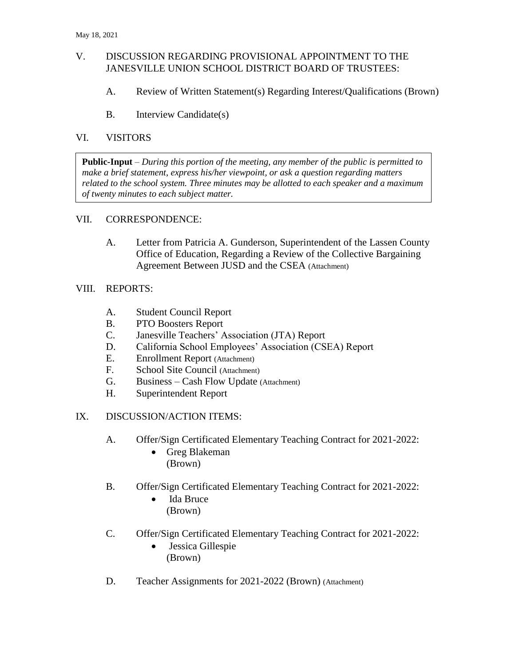## V. DISCUSSION REGARDING PROVISIONAL APPOINTMENT TO THE JANESVILLE UNION SCHOOL DISTRICT BOARD OF TRUSTEES:

- A. Review of Written Statement(s) Regarding Interest/Qualifications (Brown)
- B. Interview Candidate(s)

## VI. VISITORS

**Public-Input** – *During this portion of the meeting, any member of the public is permitted to make a brief statement, express his/her viewpoint, or ask a question regarding matters related to the school system. Three minutes may be allotted to each speaker and a maximum of twenty minutes to each subject matter.*

#### VII. CORRESPONDENCE:

A. Letter from Patricia A. Gunderson, Superintendent of the Lassen County Office of Education, Regarding a Review of the Collective Bargaining Agreement Between JUSD and the CSEA (Attachment)

## VIII. REPORTS:

- A. Student Council Report
- B. PTO Boosters Report
- C. Janesville Teachers' Association (JTA) Report
- D. California School Employees' Association (CSEA) Report
- E. Enrollment Report (Attachment)
- F. School Site Council (Attachment)
- G. Business Cash Flow Update (Attachment)
- H. Superintendent Report

#### IX. DISCUSSION/ACTION ITEMS:

- A. Offer/Sign Certificated Elementary Teaching Contract for 2021-2022:
	- Greg Blakeman (Brown)
- B. Offer/Sign Certificated Elementary Teaching Contract for 2021-2022:
	- Ida Bruce (Brown)
- C. Offer/Sign Certificated Elementary Teaching Contract for 2021-2022:
	- Jessica Gillespie (Brown)
- D. Teacher Assignments for 2021-2022 (Brown) (Attachment)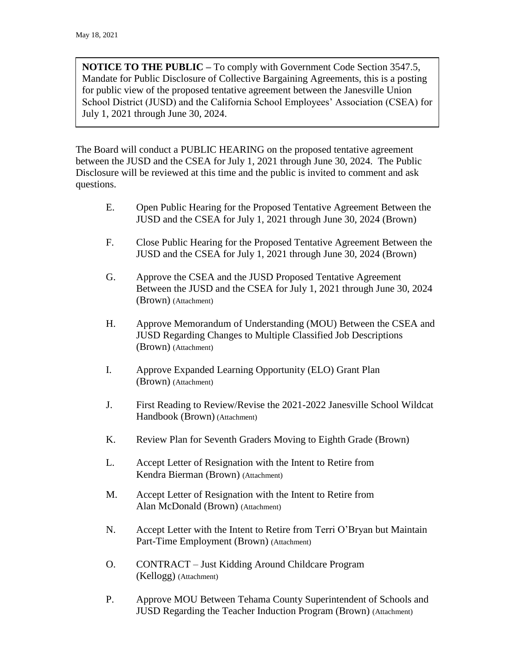**NOTICE TO THE PUBLIC –** To comply with Government Code Section 3547.5, Mandate for Public Disclosure of Collective Bargaining Agreements, this is a posting for public view of the proposed tentative agreement between the Janesville Union School District (JUSD) and the California School Employees' Association (CSEA) for July 1, 2021 through June 30, 2024.

The Board will conduct a PUBLIC HEARING on the proposed tentative agreement between the JUSD and the CSEA for July 1, 2021 through June 30, 2024. The Public Disclosure will be reviewed at this time and the public is invited to comment and ask questions.

- E. Open Public Hearing for the Proposed Tentative Agreement Between the JUSD and the CSEA for July 1, 2021 through June 30, 2024 (Brown)
- F. Close Public Hearing for the Proposed Tentative Agreement Between the JUSD and the CSEA for July 1, 2021 through June 30, 2024 (Brown)
- G. Approve the CSEA and the JUSD Proposed Tentative Agreement Between the JUSD and the CSEA for July 1, 2021 through June 30, 2024 (Brown) (Attachment)
- H. Approve Memorandum of Understanding (MOU) Between the CSEA and JUSD Regarding Changes to Multiple Classified Job Descriptions (Brown) (Attachment)
- I. Approve Expanded Learning Opportunity (ELO) Grant Plan (Brown) (Attachment)
- J. First Reading to Review/Revise the 2021-2022 Janesville School Wildcat Handbook (Brown) (Attachment)
- K. Review Plan for Seventh Graders Moving to Eighth Grade (Brown)
- L. Accept Letter of Resignation with the Intent to Retire from Kendra Bierman (Brown) (Attachment)
- M. Accept Letter of Resignation with the Intent to Retire from Alan McDonald (Brown) (Attachment)
- N. Accept Letter with the Intent to Retire from Terri O'Bryan but Maintain Part-Time Employment (Brown) (Attachment)
- O. CONTRACT Just Kidding Around Childcare Program (Kellogg) (Attachment)
- P. Approve MOU Between Tehama County Superintendent of Schools and JUSD Regarding the Teacher Induction Program (Brown) (Attachment)